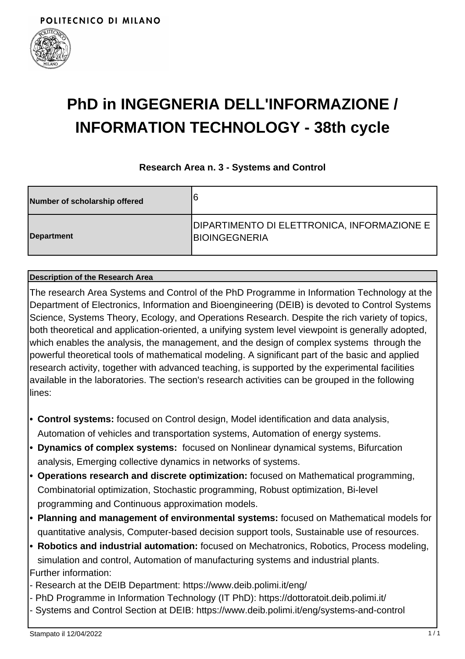

# **PhD in INGEGNERIA DELL'INFORMAZIONE / INFORMATION TECHNOLOGY - 38th cycle**

### **Research Area n. 3 - Systems and Control**

| Number of scholarship offered | 16                                                                  |
|-------------------------------|---------------------------------------------------------------------|
| Department                    | DIPARTIMENTO DI ELETTRONICA, INFORMAZIONE E<br><b>BIOINGEGNERIA</b> |

#### **Description of the Research Area**

The research Area Systems and Control of the PhD Programme in Information Technology at the Department of Electronics, Information and Bioengineering (DEIB) is devoted to Control Systems Science, Systems Theory, Ecology, and Operations Research. Despite the rich variety of topics, both theoretical and application-oriented, a unifying system level viewpoint is generally adopted, which enables the analysis, the management, and the design of complex systems through the powerful theoretical tools of mathematical modeling. A significant part of the basic and applied research activity, together with advanced teaching, is supported by the experimental facilities available in the laboratories. The section's research activities can be grouped in the following lines:

- **Control systems:** focused on Control design, Model identification and data analysis, **•** Automation of vehicles and transportation systems, Automation of energy systems.
- **Dynamics of complex systems:** focused on Nonlinear dynamical systems, Bifurcation **•** analysis, Emerging collective dynamics in networks of systems.
- **Operations research and discrete optimization:** focused on Mathematical programming, **•** Combinatorial optimization, Stochastic programming, Robust optimization, Bi-level programming and Continuous approximation models.
- **Planning and management of environmental systems:** focused on Mathematical models for **•** quantitative analysis, Computer-based decision support tools, Sustainable use of resources.
- **Robotics and industrial automation:** focused on Mechatronics, Robotics, Process modeling, **•** simulation and control, Automation of manufacturing systems and industrial plants. Further information:
- Research at the DEIB Department: https://www.deib.polimi.it/eng/
- PhD Programme in Information Technology (IT PhD): https://dottoratoit.deib.polimi.it/
- Systems and Control Section at DEIB: https://www.deib.polimi.it/eng/systems-and-control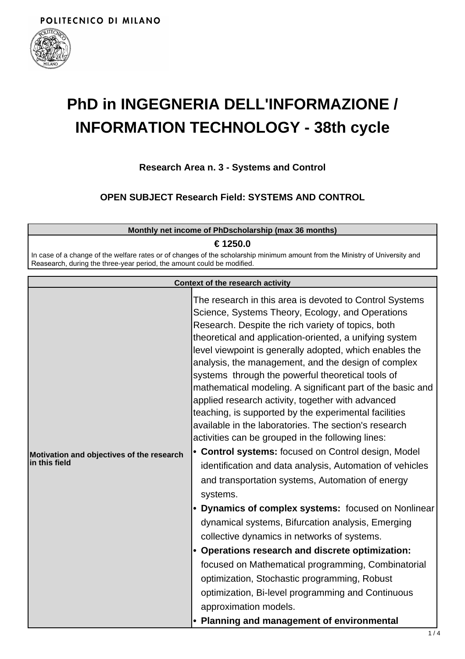

## **PhD in INGEGNERIA DELL'INFORMAZIONE / INFORMATION TECHNOLOGY - 38th cycle**

**Research Area n. 3 - Systems and Control**

**OPEN SUBJECT Research Field: SYSTEMS AND CONTROL**

| Monthly net income of PhDscholarship (max 36 months)                                                                                                                                                   |                                                                  |  |
|--------------------------------------------------------------------------------------------------------------------------------------------------------------------------------------------------------|------------------------------------------------------------------|--|
| € 1250.0                                                                                                                                                                                               |                                                                  |  |
| In case of a change of the welfare rates or of changes of the scholarship minimum amount from the Ministry of University and<br>Reasearch, during the three-year period, the amount could be modified. |                                                                  |  |
| Context of the research activity                                                                                                                                                                       |                                                                  |  |
|                                                                                                                                                                                                        | This associate to this same is decepted to $O$ entail $O$ cotons |  |

| Motivation and objectives of the research<br>in this field | The research in this area is devoted to Control Systems<br>Science, Systems Theory, Ecology, and Operations<br>Research. Despite the rich variety of topics, both<br>theoretical and application-oriented, a unifying system<br>level viewpoint is generally adopted, which enables the<br>analysis, the management, and the design of complex<br>systems through the powerful theoretical tools of<br>mathematical modeling. A significant part of the basic and<br>applied research activity, together with advanced<br>teaching, is supported by the experimental facilities<br>available in the laboratories. The section's research<br>activities can be grouped in the following lines:<br>• Control systems: focused on Control design, Model<br>identification and data analysis, Automation of vehicles<br>and transportation systems, Automation of energy |
|------------------------------------------------------------|----------------------------------------------------------------------------------------------------------------------------------------------------------------------------------------------------------------------------------------------------------------------------------------------------------------------------------------------------------------------------------------------------------------------------------------------------------------------------------------------------------------------------------------------------------------------------------------------------------------------------------------------------------------------------------------------------------------------------------------------------------------------------------------------------------------------------------------------------------------------|
|                                                            | systems.<br>Dynamics of complex systems: focused on Nonlinear                                                                                                                                                                                                                                                                                                                                                                                                                                                                                                                                                                                                                                                                                                                                                                                                        |
|                                                            | dynamical systems, Bifurcation analysis, Emerging                                                                                                                                                                                                                                                                                                                                                                                                                                                                                                                                                                                                                                                                                                                                                                                                                    |
|                                                            | collective dynamics in networks of systems.                                                                                                                                                                                                                                                                                                                                                                                                                                                                                                                                                                                                                                                                                                                                                                                                                          |
|                                                            | Operations research and discrete optimization:                                                                                                                                                                                                                                                                                                                                                                                                                                                                                                                                                                                                                                                                                                                                                                                                                       |
|                                                            | focused on Mathematical programming, Combinatorial                                                                                                                                                                                                                                                                                                                                                                                                                                                                                                                                                                                                                                                                                                                                                                                                                   |
|                                                            | optimization, Stochastic programming, Robust                                                                                                                                                                                                                                                                                                                                                                                                                                                                                                                                                                                                                                                                                                                                                                                                                         |
|                                                            | optimization, Bi-level programming and Continuous                                                                                                                                                                                                                                                                                                                                                                                                                                                                                                                                                                                                                                                                                                                                                                                                                    |
|                                                            | approximation models.                                                                                                                                                                                                                                                                                                                                                                                                                                                                                                                                                                                                                                                                                                                                                                                                                                                |
|                                                            | <b>Planning and management of environmental</b>                                                                                                                                                                                                                                                                                                                                                                                                                                                                                                                                                                                                                                                                                                                                                                                                                      |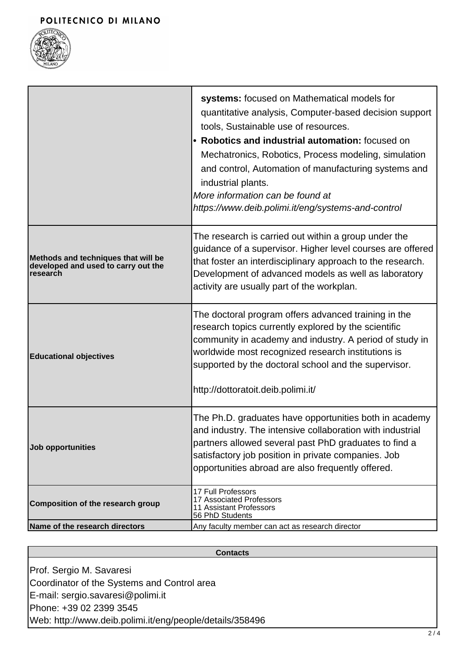

|                                                                                        | systems: focused on Mathematical models for<br>quantitative analysis, Computer-based decision support<br>tools, Sustainable use of resources.<br>• Robotics and industrial automation: focused on<br>Mechatronics, Robotics, Process modeling, simulation<br>and control, Automation of manufacturing systems and<br>industrial plants.<br>More information can be found at<br>https://www.deib.polimi.it/eng/systems-and-control |
|----------------------------------------------------------------------------------------|-----------------------------------------------------------------------------------------------------------------------------------------------------------------------------------------------------------------------------------------------------------------------------------------------------------------------------------------------------------------------------------------------------------------------------------|
| Methods and techniques that will be<br>developed and used to carry out the<br>research | The research is carried out within a group under the<br>guidance of a supervisor. Higher level courses are offered<br>that foster an interdisciplinary approach to the research.<br>Development of advanced models as well as laboratory<br>activity are usually part of the workplan.                                                                                                                                            |
| <b>Educational objectives</b>                                                          | The doctoral program offers advanced training in the<br>research topics currently explored by the scientific<br>community in academy and industry. A period of study in<br>worldwide most recognized research institutions is<br>supported by the doctoral school and the supervisor.<br>http://dottoratoit.deib.polimi.it/                                                                                                       |
| Job opportunities                                                                      | The Ph.D. graduates have opportunities both in academy<br>and industry. The intensive collaboration with industrial<br>partners allowed several past PhD graduates to find a<br>satisfactory job position in private companies. Job<br>opportunities abroad are also frequently offered.                                                                                                                                          |
| <b>Composition of the research group</b>                                               | 17 Full Professors<br>17 Associated Professors<br><b>11 Assistant Professors</b><br>56 PhD Students                                                                                                                                                                                                                                                                                                                               |
| Name of the research directors                                                         | Any faculty member can act as research director                                                                                                                                                                                                                                                                                                                                                                                   |

**Contacts**

Prof. Sergio M. Savaresi Coordinator of the Systems and Control area E-mail: sergio.savaresi@polimi.it Phone: +39 02 2399 3545 Web: http://www.deib.polimi.it/eng/people/details/358496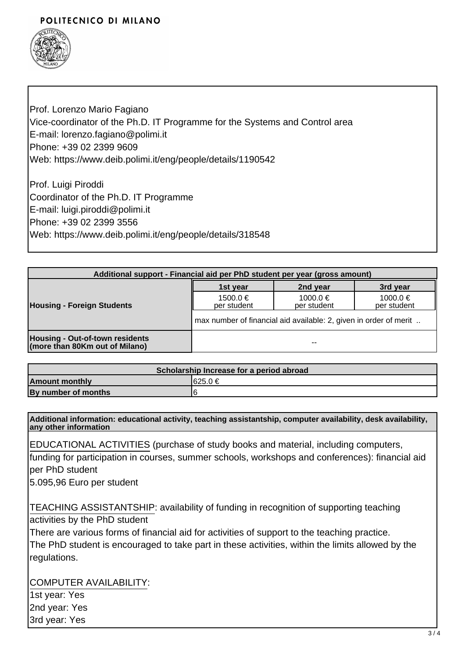### POLITECNICO DI MILANO



Prof. Lorenzo Mario Fagiano Vice-coordinator of the Ph.D. IT Programme for the Systems and Control area E-mail: lorenzo.fagiano@polimi.it Phone: +39 02 2399 9609 Web: https://www.deib.polimi.it/eng/people/details/1190542

Prof. Luigi Piroddi Coordinator of the Ph.D. IT Programme E-mail: luigi.piroddi@polimi.it Phone: +39 02 2399 3556 Web: https://www.deib.polimi.it/eng/people/details/318548

| Additional support - Financial aid per PhD student per year (gross amount) |                                                                   |                             |                         |
|----------------------------------------------------------------------------|-------------------------------------------------------------------|-----------------------------|-------------------------|
| <b>Housing - Foreign Students</b>                                          | 1st year                                                          | 2nd year                    | 3rd year                |
|                                                                            | $1500.0 \in$<br>per student                                       | $1000.0 \in$<br>per student | 1000.0 €<br>per student |
|                                                                            | max number of financial aid available: 2, given in order of merit |                             |                         |
| <b>Housing - Out-of-town residents</b><br>(more than 80Km out of Milano)   |                                                                   | --                          |                         |

| Scholarship Increase for a period abroad |          |  |
|------------------------------------------|----------|--|
| <b>Amount monthly</b>                    | I625.0 € |  |
| By number of months                      |          |  |

**Additional information: educational activity, teaching assistantship, computer availability, desk availability, any other information**

EDUCATIONAL ACTIVITIES (purchase of study books and material, including computers, funding for participation in courses, summer schools, workshops and conferences): financial aid per PhD student

5.095,96 Euro per student

TEACHING ASSISTANTSHIP: availability of funding in recognition of supporting teaching activities by the PhD student

There are various forms of financial aid for activities of support to the teaching practice. The PhD student is encouraged to take part in these activities, within the limits allowed by the regulations.

COMPUTER AVAILABILITY:

1st year: Yes 2nd year: Yes 3rd year: Yes